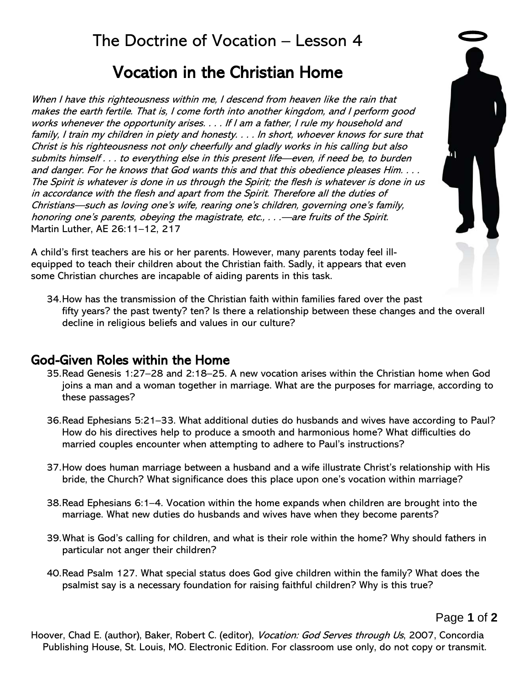# Vocation in the Christian Home

When I have this righteousness within me, I descend from heaven like the rain that makes the earth fertile. That is, I come forth into another kingdom, and I perform good works whenever the opportunity arises. . . . If I am a father, I rule my household and family, I train my children in piety and honesty. . . . In short, whoever knows for sure that Christ is his righteousness not only cheerfully and gladly works in his calling but also submits himself . . . to everything else in this present life—even, if need be, to burden and danger. For he knows that God wants this and that this obedience pleases Him. . . . The Spirit is whatever is done in us through the Spirit; the flesh is whatever is done in us in accordance with the flesh and apart from the Spirit. Therefore all the duties of Christians—such as loving one's wife, rearing one's children, governing one's family, honoring one's parents, obeying the magistrate, etc., ... —are fruits of the Spirit. Martin Luther, AE 26:11–12, 217

A child's first teachers are his or her parents. However, many parents today feel illequipped to teach their children about the Christian faith. Sadly, it appears that even some Christian churches are incapable of aiding parents in this task.



34.How has the transmission of the Christian faith within families fared over the past fifty years? the past twenty? ten? Is there a relationship between these changes and the overall decline in religious beliefs and values in our culture?

## God-Given Roles within the Home

- 35.Read Genesis 1:27–28 and 2:18–25. A new vocation arises within the Christian home when God joins a man and a woman together in marriage. What are the purposes for marriage, according to these passages?
- 36.Read Ephesians 5:21–33. What additional duties do husbands and wives have according to Paul? How do his directives help to produce a smooth and harmonious home? What difficulties do married couples encounter when attempting to adhere to Paul's instructions?
- 37.How does human marriage between a husband and a wife illustrate Christ's relationship with His bride, the Church? What significance does this place upon one's vocation within marriage?
- 38.Read Ephesians 6:1–4. Vocation within the home expands when children are brought into the marriage. What new duties do husbands and wives have when they become parents?
- 39.What is God's calling for children, and what is their role within the home? Why should fathers in particular not anger their children?
- 40.Read Psalm 127. What special status does God give children within the family? What does the psalmist say is a necessary foundation for raising faithful children? Why is this true?

Page **1** of **2**

Hoover, Chad E. (author), Baker, Robert C. (editor), *Vocation: God Serves through Us*, 2007, Concordia Publishing House, St. Louis, MO. Electronic Edition. For classroom use only, do not copy or transmit.